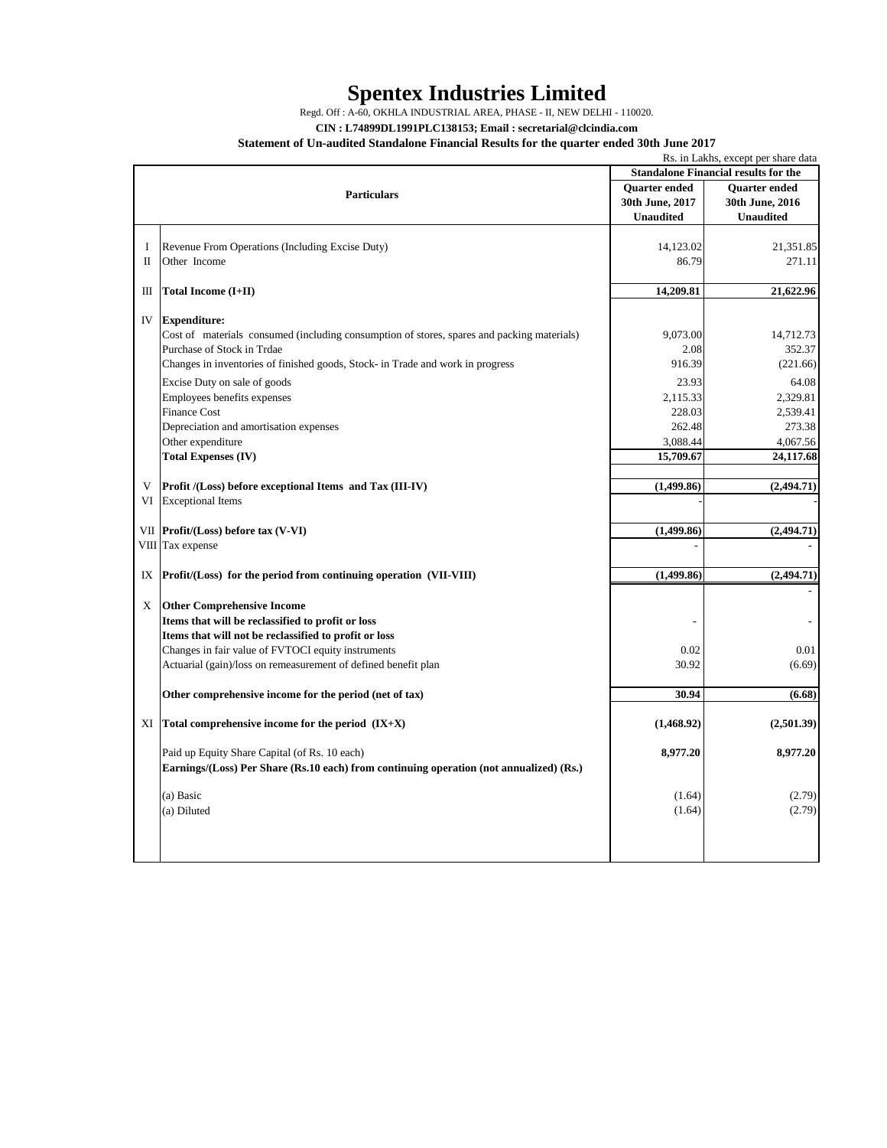## **Spentex Industries Limited**

Regd. Off : A-60, OKHLA INDUSTRIAL AREA, PHASE - II, NEW DELHI - 110020.

**CIN : L74899DL1991PLC138153; Email : secretarial@clcindia.com**

## **Statement of Un-audited Standalone Financial Results for the quarter ended 30th June 2017**

|                                             | Rs. in Lakhs, except per share data                                                        |                      |                      |
|---------------------------------------------|--------------------------------------------------------------------------------------------|----------------------|----------------------|
| <b>Standalone Financial results for the</b> |                                                                                            |                      |                      |
| <b>Particulars</b>                          |                                                                                            | <b>Ouarter</b> ended | <b>Ouarter</b> ended |
|                                             |                                                                                            | 30th June, 2017      | 30th June, 2016      |
|                                             |                                                                                            | <b>Unaudited</b>     | <b>Unaudited</b>     |
|                                             |                                                                                            |                      |                      |
| I                                           | Revenue From Operations (Including Excise Duty)                                            | 14,123.02            | 21,351.85            |
| П                                           | Other Income                                                                               | 86.79                | 271.11               |
|                                             |                                                                                            |                      |                      |
| Ш                                           | Total Income (I+II)                                                                        | 14,209.81            | 21,622.96            |
|                                             |                                                                                            |                      |                      |
| IV                                          | <b>Expenditure:</b>                                                                        |                      |                      |
|                                             | Cost of materials consumed (including consumption of stores, spares and packing materials) | 9,073.00             | 14,712.73            |
|                                             | Purchase of Stock in Trdae                                                                 | 2.08                 | 352.37               |
|                                             |                                                                                            | 916.39               |                      |
|                                             | Changes in inventories of finished goods, Stock- in Trade and work in progress             |                      | (221.66)             |
|                                             | Excise Duty on sale of goods                                                               | 23.93                | 64.08                |
|                                             | Employees benefits expenses                                                                | 2,115.33             | 2,329.81             |
|                                             | <b>Finance Cost</b>                                                                        | 228.03               | 2,539.41             |
|                                             | Depreciation and amortisation expenses                                                     | 262.48               | 273.38               |
|                                             | Other expenditure                                                                          | 3,088.44             | 4,067.56             |
|                                             | <b>Total Expenses (IV)</b>                                                                 | 15,709.67            | 24,117.68            |
|                                             |                                                                                            |                      |                      |
| V                                           | Profit /(Loss) before exceptional Items and Tax (III-IV)                                   | (1,499.86)           | (2,494.71)           |
|                                             | VI Exceptional Items                                                                       |                      |                      |
|                                             |                                                                                            |                      |                      |
|                                             | VII Profit/(Loss) before tax (V-VI)                                                        | (1,499.86)           | (2, 494.71)          |
|                                             | VIII Tax expense                                                                           |                      |                      |
|                                             |                                                                                            |                      |                      |
| IX                                          | Profit/(Loss) for the period from continuing operation (VII-VIII)                          | (1,499.86)           | (2, 494.71)          |
|                                             |                                                                                            |                      |                      |
| X                                           | <b>Other Comprehensive Income</b>                                                          |                      |                      |
|                                             | Items that will be reclassified to profit or loss                                          |                      |                      |
|                                             |                                                                                            |                      |                      |
|                                             | Items that will not be reclassified to profit or loss                                      |                      |                      |
|                                             | Changes in fair value of FVTOCI equity instruments                                         | 0.02                 | 0.01                 |
|                                             | Actuarial (gain)/loss on remeasurement of defined benefit plan                             | 30.92                | (6.69)               |
|                                             |                                                                                            |                      |                      |
|                                             | Other comprehensive income for the period (net of tax)                                     | 30.94                | (6.68)               |
|                                             |                                                                                            |                      |                      |
| XI                                          | Total comprehensive income for the period $(IX+X)$                                         | (1,468.92)           | (2,501.39)           |
|                                             |                                                                                            |                      |                      |
|                                             | Paid up Equity Share Capital (of Rs. 10 each)                                              | 8,977.20             | 8,977.20             |
|                                             | Earnings/(Loss) Per Share (Rs.10 each) from continuing operation (not annualized) (Rs.)    |                      |                      |
|                                             |                                                                                            |                      |                      |
|                                             | (a) Basic                                                                                  | (1.64)               | (2.79)               |
|                                             | (a) Diluted                                                                                | (1.64)               | (2.79)               |
|                                             |                                                                                            |                      |                      |
|                                             |                                                                                            |                      |                      |
|                                             |                                                                                            |                      |                      |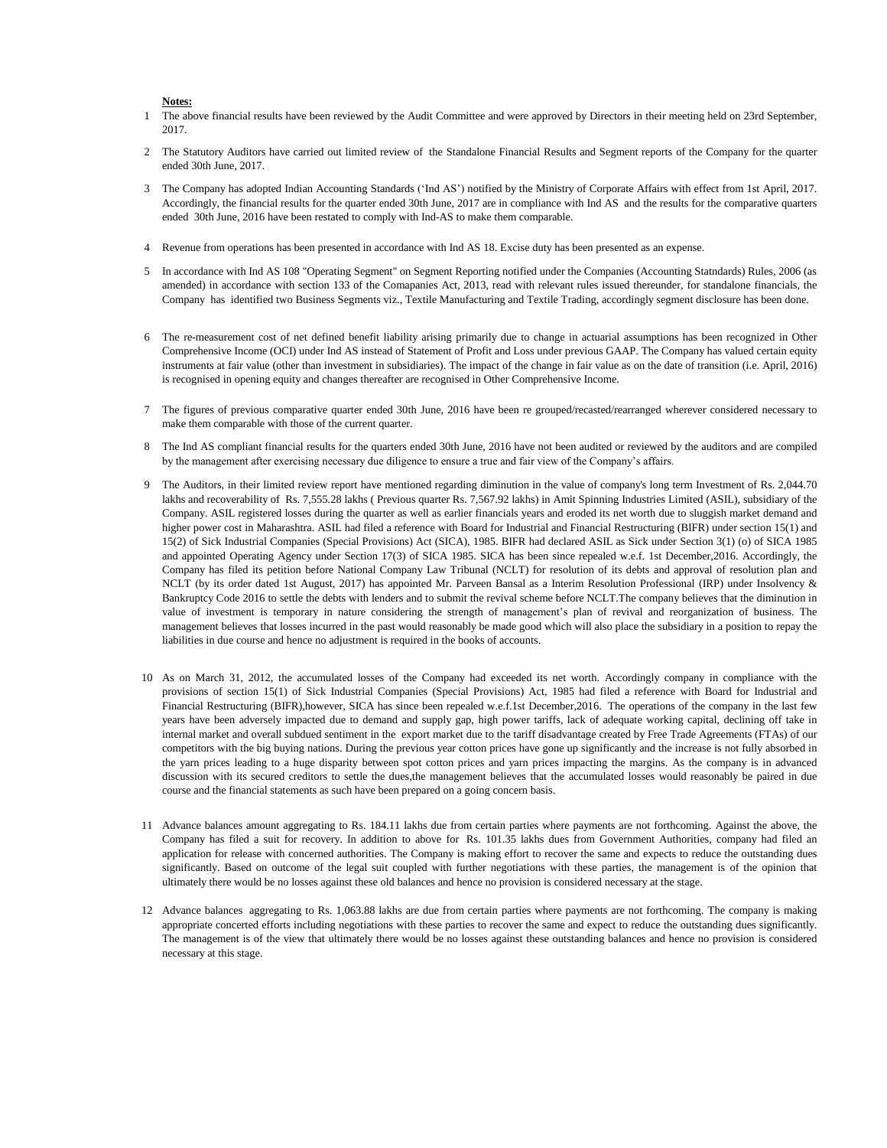## **Notes:**

- 1 The above financial results have been reviewed by the Audit Committee and were approved by Directors in their meeting held on 23rd September, 2017.
- 2 The Statutory Auditors have carried out limited review of the Standalone Financial Results and Segment reports of the Company for the quarter ended 30th June, 2017.
- 3 The Company has adopted Indian Accounting Standards ('Ind AS') notified by the Ministry of Corporate Affairs with effect from 1st April, 2017. Accordingly, the financial results for the quarter ended 30th June, 2017 are in compliance with Ind AS and the results for the comparative quarters ended 30th June, 2016 have been restated to comply with Ind-AS to make them comparable.
- 4 Revenue from operations has been presented in accordance with Ind AS 18. Excise duty has been presented as an expense.
- 5 In accordance with Ind AS 108 "Operating Segment" on Segment Reporting notified under the Companies (Accounting Statndards) Rules, 2006 (as amended) in accordance with section 133 of the Comapanies Act, 2013, read with relevant rules issued thereunder, for standalone financials, the Company has identified two Business Segments viz., Textile Manufacturing and Textile Trading, accordingly segment disclosure has been done.
- 6 The re-measurement cost of net defined benefit liability arising primarily due to change in actuarial assumptions has been recognized in Other Comprehensive Income (OCI) under Ind AS instead of Statement of Profit and Loss under previous GAAP. The Company has valued certain equity instruments at fair value (other than investment in subsidiaries). The impact of the change in fair value as on the date of transition (i.e. April, 2016) is recognised in opening equity and changes thereafter are recognised in Other Comprehensive Income.
- 7 The figures of previous comparative quarter ended 30th June, 2016 have been re grouped/recasted/rearranged wherever considered necessary to make them comparable with those of the current quarter.
- 8 The Ind AS compliant financial results for the quarters ended 30th June, 2016 have not been audited or reviewed by the auditors and are compiled by the management after exercising necessary due diligence to ensure a true and fair view of the Company's affairs.
- 9 The Auditors, in their limited review report have mentioned regarding diminution in the value of company's long term Investment of Rs. 2,044.70 lakhs and recoverability of Rs. 7,555.28 lakhs ( Previous quarter Rs. 7,567.92 lakhs) in Amit Spinning Industries Limited (ASIL), subsidiary of the Company. ASIL registered losses during the quarter as well as earlier financials years and eroded its net worth due to sluggish market demand and higher power cost in Maharashtra. ASIL had filed a reference with Board for Industrial and Financial Restructuring (BIFR) under section 15(1) and 15(2) of Sick Industrial Companies (Special Provisions) Act (SICA), 1985. BIFR had declared ASIL as Sick under Section 3(1) (o) of SICA 1985 and appointed Operating Agency under Section 17(3) of SICA 1985. SICA has been since repealed w.e.f. 1st December,2016. Accordingly, the Company has filed its petition before National Company Law Tribunal (NCLT) for resolution of its debts and approval of resolution plan and NCLT (by its order dated 1st August, 2017) has appointed Mr. Parveen Bansal as a Interim Resolution Professional (IRP) under Insolvency & Bankruptcy Code 2016 to settle the debts with lenders and to submit the revival scheme before NCLT.The company believes that the diminution in value of investment is temporary in nature considering the strength of management's plan of revival and reorganization of business. The management believes that losses incurred in the past would reasonably be made good which will also place the subsidiary in a position to repay the liabilities in due course and hence no adjustment is required in the books of accounts.
- 10 As on March 31, 2012, the accumulated losses of the Company had exceeded its net worth. Accordingly company in compliance with the provisions of section 15(1) of Sick Industrial Companies (Special Provisions) Act, 1985 had filed a reference with Board for Industrial and Financial Restructuring (BIFR),however, SICA has since been repealed w.e.f.1st December,2016. The operations of the company in the last few years have been adversely impacted due to demand and supply gap, high power tariffs, lack of adequate working capital, declining off take in internal market and overall subdued sentiment in the export market due to the tariff disadvantage created by Free Trade Agreements (FTAs) of our competitors with the big buying nations. During the previous year cotton prices have gone up significantly and the increase is not fully absorbed in the yarn prices leading to a huge disparity between spot cotton prices and yarn prices impacting the margins. As the company is in advanced discussion with its secured creditors to settle the dues,the management believes that the accumulated losses would reasonably be paired in due course and the financial statements as such have been prepared on a going concern basis.
- 11 Advance balances amount aggregating to Rs. 184.11 lakhs due from certain parties where payments are not forthcoming. Against the above, the Company has filed a suit for recovery. In addition to above for Rs. 101.35 lakhs dues from Government Authorities, company had filed an application for release with concerned authorities. The Company is making effort to recover the same and expects to reduce the outstanding dues significantly. Based on outcome of the legal suit coupled with further negotiations with these parties, the management is of the opinion that ultimately there would be no losses against these old balances and hence no provision is considered necessary at the stage.
- 12 Advance balances aggregating to Rs. 1,063.88 lakhs are due from certain parties where payments are not forthcoming. The company is making appropriate concerted efforts including negotiations with these parties to recover the same and expect to reduce the outstanding dues significantly. The management is of the view that ultimately there would be no losses against these outstanding balances and hence no provision is considered necessary at this stage.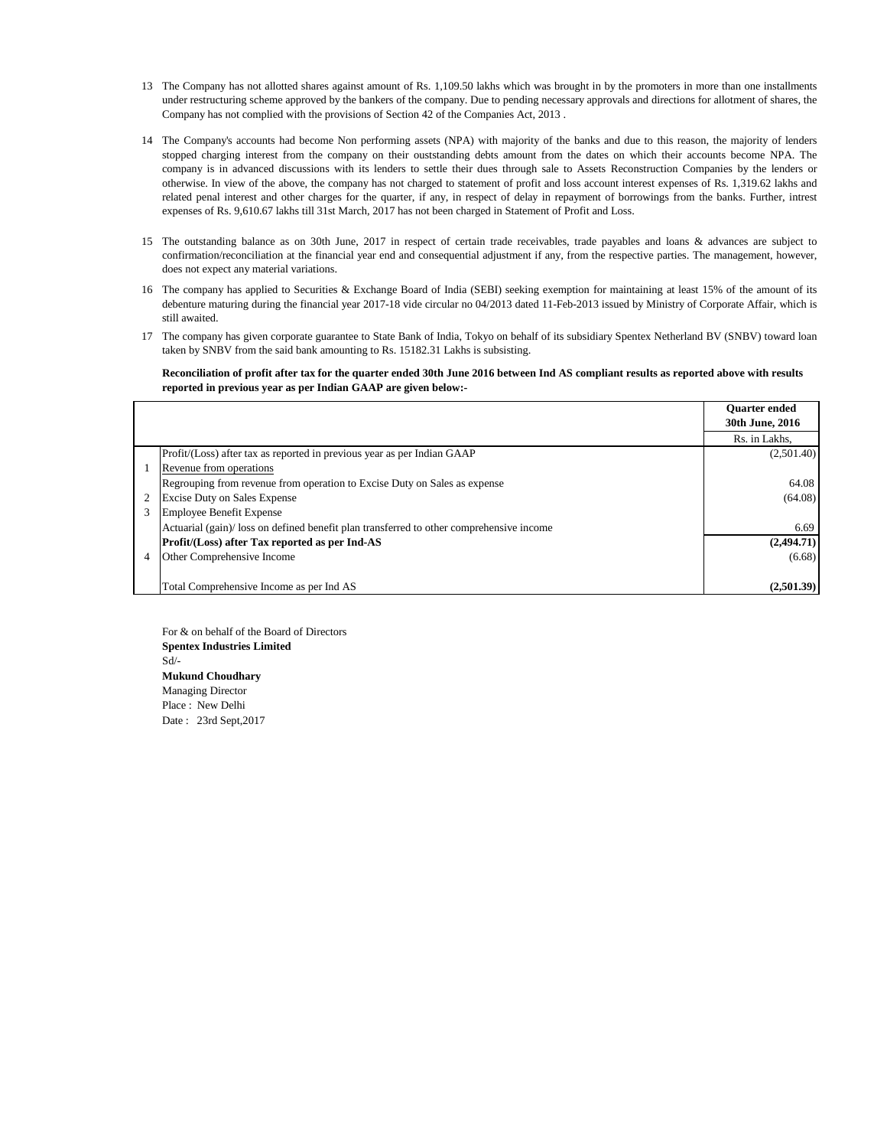- 13 The Company has not allotted shares against amount of Rs. 1,109.50 lakhs which was brought in by the promoters in more than one installments under restructuring scheme approved by the bankers of the company. Due to pending necessary approvals and directions for allotment of shares, the Company has not complied with the provisions of Section 42 of the Companies Act, 2013 .
- 14 The Company's accounts had become Non performing assets (NPA) with majority of the banks and due to this reason, the majority of lenders stopped charging interest from the company on their ouststanding debts amount from the dates on which their accounts become NPA. The company is in advanced discussions with its lenders to settle their dues through sale to Assets Reconstruction Companies by the lenders or otherwise. In view of the above, the company has not charged to statement of profit and loss account interest expenses of Rs. 1,319.62 lakhs and related penal interest and other charges for the quarter, if any, in respect of delay in repayment of borrowings from the banks. Further, intrest expenses of Rs. 9,610.67 lakhs till 31st March, 2017 has not been charged in Statement of Profit and Loss.
- 15 The outstanding balance as on 30th June, 2017 in respect of certain trade receivables, trade payables and loans & advances are subject to confirmation/reconciliation at the financial year end and consequential adjustment if any, from the respective parties. The management, however, does not expect any material variations.
- 16 The company has applied to Securities & Exchange Board of India (SEBI) seeking exemption for maintaining at least 15% of the amount of its debenture maturing during the financial year 2017-18 vide circular no 04/2013 dated 11-Feb-2013 issued by Ministry of Corporate Affair, which is still awaited.
- 17 The company has given corporate guarantee to State Bank of India, Tokyo on behalf of its subsidiary Spentex Netherland BV (SNBV) toward loan taken by SNBV from the said bank amounting to Rs. 15182.31 Lakhs is subsisting.

## **Reconciliation of profit after tax for the quarter ended 30th June 2016 between Ind AS compliant results as reported above with results reported in previous year as per Indian GAAP are given below:-**

|                |                                                                                         | <b>Ouarter ended</b> |
|----------------|-----------------------------------------------------------------------------------------|----------------------|
|                |                                                                                         | 30th June, 2016      |
|                |                                                                                         | Rs. in Lakhs.        |
|                | Profit/(Loss) after tax as reported in previous year as per Indian GAAP                 | (2,501.40)           |
|                | 1 Revenue from operations                                                               |                      |
|                | Regrouping from revenue from operation to Excise Duty on Sales as expense               | 64.08                |
|                | 2 Excise Duty on Sales Expense                                                          | (64.08)              |
| 3              | Employee Benefit Expense                                                                |                      |
|                | Actuarial (gain) loss on defined benefit plan transferred to other comprehensive income | 6.69                 |
|                | Profit/(Loss) after Tax reported as per Ind-AS                                          | (2,494.71)           |
| $\overline{4}$ | Other Comprehensive Income                                                              | (6.68)               |
|                |                                                                                         |                      |
|                | Total Comprehensive Income as per Ind AS                                                | (2,501.39)           |

For & on behalf of the Board of Directors **Spentex Industries Limited** Sd/- **Mukund Choudhary** Managing Director Place : New Delhi Date : 23rd Sept,2017